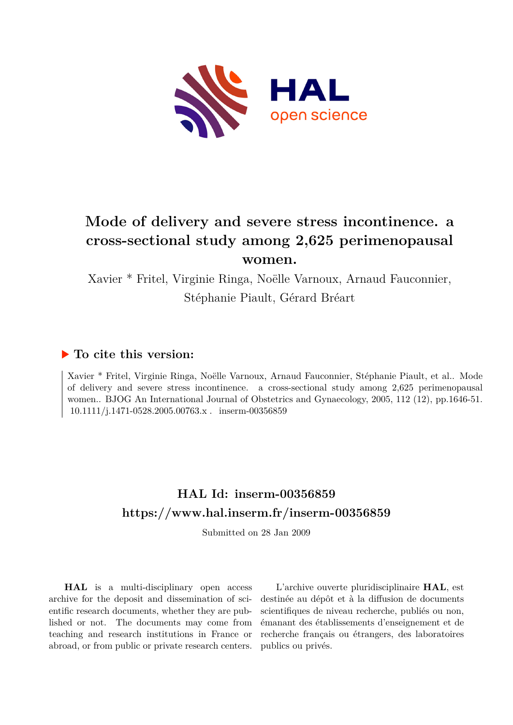

# **Mode of delivery and severe stress incontinence. a cross-sectional study among 2,625 perimenopausal women.**

Xavier \* Fritel, Virginie Ringa, Noëlle Varnoux, Arnaud Fauconnier, Stéphanie Piault, Gérard Bréart

## **To cite this version:**

Xavier \* Fritel, Virginie Ringa, Noëlle Varnoux, Arnaud Fauconnier, Stéphanie Piault, et al.. Mode of delivery and severe stress incontinence. a cross-sectional study among 2,625 perimenopausal women.. BJOG An International Journal of Obstetrics and Gynaecology, 2005, 112 (12), pp.1646-51.  $10.1111/i.1471-0528.2005.00763.x$  . inserm-00356859

## **HAL Id: inserm-00356859 <https://www.hal.inserm.fr/inserm-00356859>**

Submitted on 28 Jan 2009

**HAL** is a multi-disciplinary open access archive for the deposit and dissemination of scientific research documents, whether they are published or not. The documents may come from teaching and research institutions in France or abroad, or from public or private research centers.

L'archive ouverte pluridisciplinaire **HAL**, est destinée au dépôt et à la diffusion de documents scientifiques de niveau recherche, publiés ou non, émanant des établissements d'enseignement et de recherche français ou étrangers, des laboratoires publics ou privés.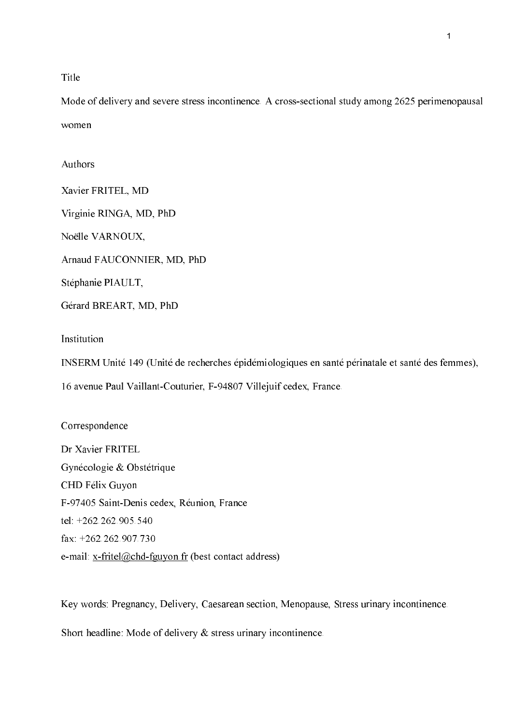Title

Mode of delivery and severe stress incontinence. A cross-sectional study among 2625 perimenopausal women

Authors

Xavier FRITEL, MD Virginie RINGA, MD, PhD Noëlle VARNOUX,

Arnaud FAUCONNIER, MD, PhD

Stéphanie PIAULT,

Gérard BREART, MD, PhD

Institution

INSERM Unité 149 (Unité de recherches épidémiologiques en santé périnatale et santé des femmes),

16 avenue Paul Vaillant-Couturier, F-94807 Villejuif cedex, France.

Correspondence

Dr Xavier FRITEL Gynécologie & Obstétrique CHD Félix Guyon F-97405 Saint-Denis cedex, Réunion, France tel: +262.262.905.540 fax: +262.262.907.730 e-mail: x-fritel@chd-fguyon.fr (best contact address)

Key words: Pregnancy, Delivery, Caesarean section, Menopause, Stress urinary incontinence.

Short headline: Mode of delivery  $\&$  stress urinary incontinence.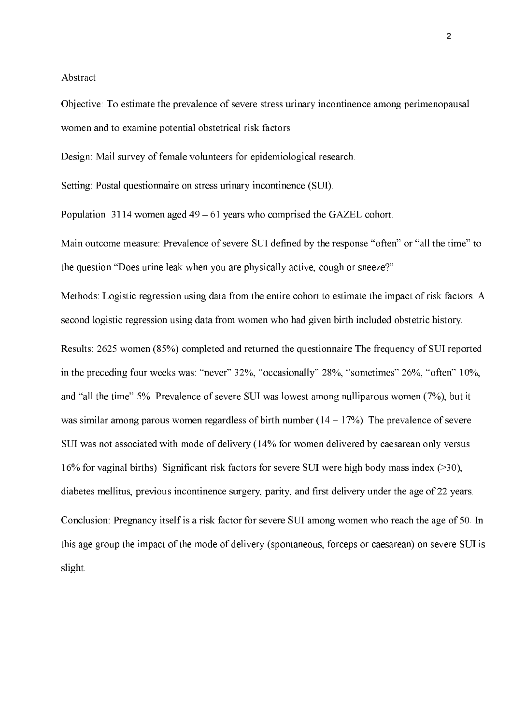#### Abstract

Objective: To estimate the prevalence of severe stress urinary incontinence among perimenopausal women and to examine potential obstetrical risk factors.

Design: Mail survey of female volunteers for epidemiological research.

Setting: Postal questionnaire on stress urinary incontinence (SUI).

Population: 3114 women aged  $49 - 61$  years who comprised the GAZEL cohort.

Main outcome measure: Prevalence of severe SUI defined by the response "often" or "all the time" to the question "Does urine leak when you are physically active, cough or sneeze?"

Methods: Logistic regression using data from the entire cohort to estimate the impact of risk factors. A second logistic regression using data from women who had given birth included obstetric history.

Results: 2625 women (85%) completed and returned the questionnaire The frequency of SUI reported in the preceding four weeks was: "never" 32%, "occasionally" 28%, "sometimes" 26%, "often" 10%, and "all the time" 5%. Prevalence of severe SUI was lowest among nulliparous women (7%), but it was similar among parous women regardless of birth number  $(14 - 17\%)$ . The prevalence of severe SUI was not associated with mode of delivery (14% for women delivered by caesarean only versus 16% for vaginal births). Significant risk factors for severe SUI were high body mass index  $($ >30), diabetes mellitus, previous incontinence surgery, parity, and first delivery under the age of 22 years.

Conclusion: Pregnancy itself is a risk factor for severe SUI among women who reach the age of 50. In this age group the impact of the mode of delivery (spontaneous, forceps or caesarean) on severe SUI is slight.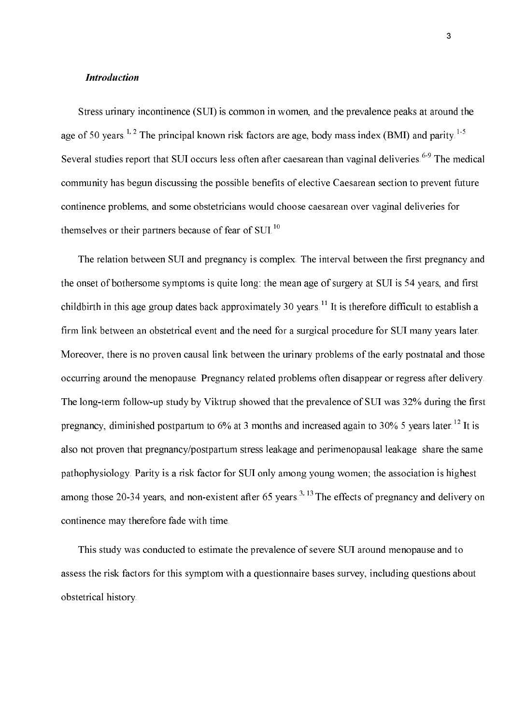#### **Introduction**

Stress urinary incontinence (SUI) is common in women, and the prevalence peaks at around the age of 50 years.<sup>1, 2</sup> The principal known risk factors are age, body mass index (BMI) and parity.<sup>1-5</sup> Several studies report that SUI occurs less often after caesarean than vaginal deliveries.<sup>6-9</sup> The medical community has begun discussing the possible benefits of elective Caesarean section to prevent future continence problems, and some obstetricians would choose caesarean over vaginal deliveries for themselves or their partners because of fear of SUI.<sup>10</sup>

The relation between SUI and pregnancy is complex. The interval between the first pregnancy and the onset of bothersome symptoms is quite long; the mean age of surgery at SUI is 54 years, and first childbirth in this age group dates back approximately 30 years. <sup>11</sup> It is therefore difficult to establish a firm link between an obstetrical event and the need for a surgical procedure for SUI many years later. Moreover, there is no proven causal link between the urinary problems of the early postnatal and those occurring around the menopause. Pregnancy related problems often disappear or regress after delivery. The long-term follow-up study by Viktrup showed that the prevalence of SUI was 32% during the first pregnancy, diminished postpartum to  $6\%$  at 3 months and increased again to 30% 5 years later.<sup>12</sup> It is also not proven that pregnancy/postpartum stress leakage and perimenopausal leakage share the same pathophysiology. Parity is a risk factor for SUI only among young women; the association is highest among those 20-34 years, and non-existent after 65 years.<sup>3, 13</sup> The effects of pregnancy and delivery on continence may therefore fade with time.

This study was conducted to estimate the prevalence of severe SUI around menopause and to assess the risk factors for this symptom with a question aire bases survey, including questions about obstetrical history.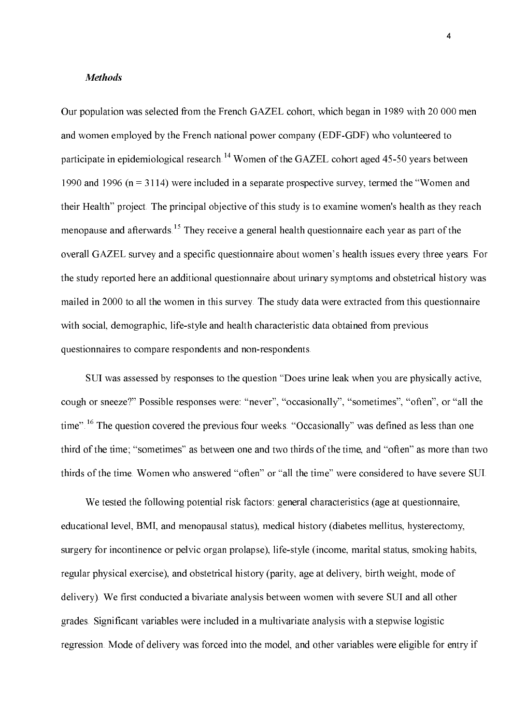#### **Methods**

Our population was selected from the French GAZEL cohort, which began in 1989 with 20 000 men and women employed by the French national power company (EDF-GDF) who volunteered to participate in epidemiological research.<sup>14</sup> Women of the GAZEL cohort aged 45-50 years between 1990 and 1996 ( $n = 3114$ ) were included in a separate prospective survey, termed the "Women and their Health" project. The principal objective of this study is to examine women's health as they reach menopause and afterwards.<sup>15</sup> They receive a general health questionnaire each year as part of the overall GAZEL survey and a specific questionnaire about women's health issues every three years. For the study reported here an additional questionnaire about urinary symptoms and obstetrical history was mailed in 2000 to all the women in this survey. The study data were extracted from this questionnaire with social, demographic, life-style and health characteristic data obtained from previous questionnaires to compare respondents and non-respondents.

SUI was assessed by responses to the question "Does urine leak when you are physically active, cough or sneeze?" Possible responses were: "never", "occasionally", "sometimes", "often", or "all the time".<sup>16</sup> The question covered the previous four weeks. "Occasionally" was defined as less than one third of the time; "sometimes" as between one and two thirds of the time, and "often" as more than two thirds of the time. Women who answered "often" or "all the time" were considered to have severe SUI.

We tested the following potential risk factors: general characteristics (age at questionnaire, educational level, BMI, and menopausal status), medical history (diabetes mellitus, hysterectomy, surgery for incontinence or pelvic organ prolapse), life-style (income, marital status, smoking habits, regular physical exercise), and obstetrical history (parity, age at delivery, birth weight, mode of delivery). We first conducted a bivariate analysis between women with severe SUI and all other grades. Significant variables were included in a multivariate analysis with a stepwise logistic regression. Mode of delivery was forced into the model, and other variables were eligible for entry if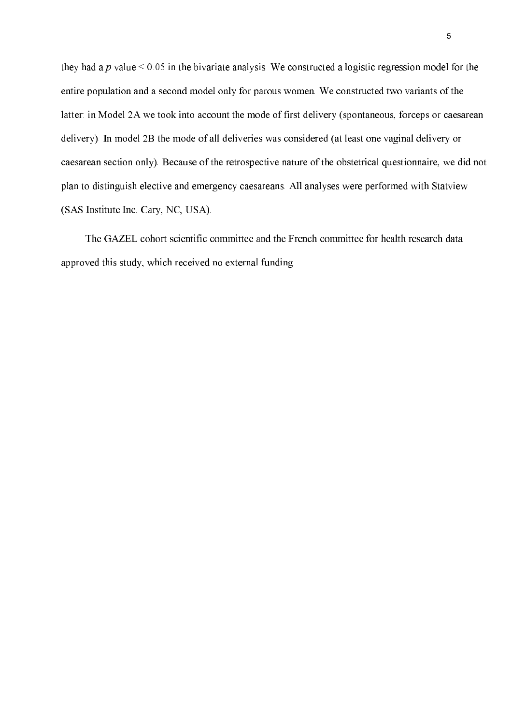they had a p value  $\leq 0.05$  in the bivariate analysis. We constructed a logistic regression model for the entire population and a second model only for parous women. We constructed two variants of the latter: in Model 2A we took into account the mode of first delivery (spontaneous, forceps or caesarean delivery). In model 2B the mode of all deliveries was considered (at least one vaginal delivery or caesarean section only). Because of the retrospective nature of the obstetrical questionnaire, we did not plan to distinguish elective and emergency caesareans. All analyses were performed with Statview (SAS Institute Inc. Cary, NC, USA).

The GAZEL cohort scientific committee and the French committee for health research data approved this study, which received no external funding.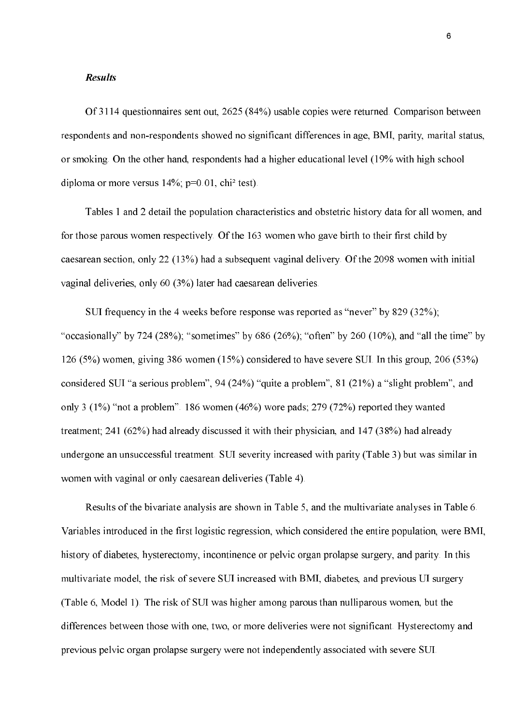#### **Results**

Of 3114 questionnaires sent out, 2625 (84%) usable copies were returned. Comparison between respondents and non-respondents showed no significant differences in age, BMI, parity, marital status, or smoking. On the other hand, respondents had a higher educational level (19% with high school diploma or more versus  $14\%$ ; p=0.01, chi<sup>2</sup> test).

Tables 1 and 2 detail the population characteristics and obstetric history data for all women, and for those parous women respectively. Of the 163 women who gave birth to their first child by caesarean section, only 22 (13%) had a subsequent vaginal delivery. Of the 2098 women with initial vaginal deliveries, only 60 (3%) later had caesarean deliveries.

SUI frequency in the 4 weeks before response was reported as "never" by 829 (32%); "occasionally" by 724 (28%); "sometimes" by 686 (26%); "often" by 260 (10%), and "all the time" by 126 (5%) women, giving 386 women (15%) considered to have severe SUI. In this group, 206 (53%) considered SUI "a serious problem", 94 (24%) "quite a problem", 81 (21%) a "slight problem", and only 3  $(1\%)$  "not a problem". 186 women  $(46\%)$  wore pads; 279  $(72\%)$  reported they wanted treatment; 241 (62%) had already discussed it with their physician, and 147 (38%) had already undergone an unsuccessful treatment. SUI severity increased with parity (Table 3) but was similar in women with vaginal or only caesarean deliveries (Table 4).

Results of the bivariate analysis are shown in Table 5, and the multivariate analyses in Table 6. Variables introduced in the first logistic regression, which considered the entire population, were BMI, history of diabetes, hysterectomy, incontinence or pelvic organ prolapse surgery, and parity. In this multivariate model, the risk of severe SUI increased with BMI, diabetes, and previous UI surgery (Table 6, Model 1). The risk of SUI was higher among parous than nulliparous women, but the differences between those with one, two, or more deliveries were not significant. Hysterectomy and previous pelvic organ prolapse surgery were not independently associated with severe SUI.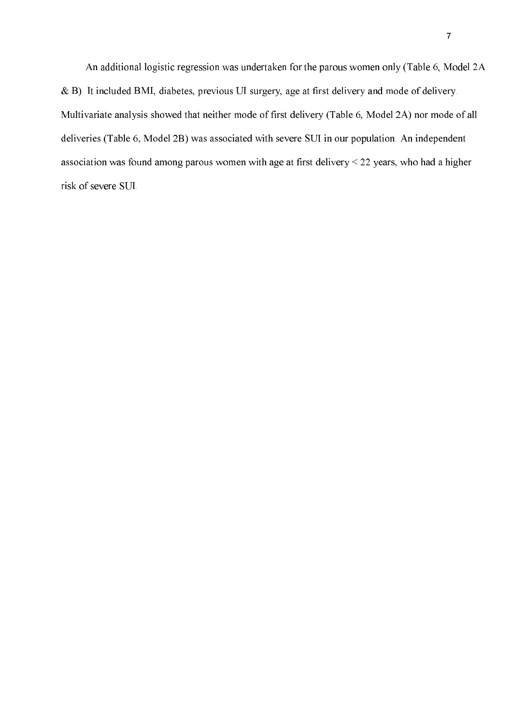An additional logistic regression was undertaken for the parous women only (Table 6, Model 2A & B). It included BMI, diabetes, previous UI surgery, age at first delivery and mode of delivery. Multivariate analysis showed that neither mode of first delivery (Table 6, Model 2A) nor mode of all deliveries (Table 6, Model 2B) was associated with severe SUI in our population. An independent association was found among parous women with age at first delivery  $<$  22 years, who had a higher risk of severe SUI.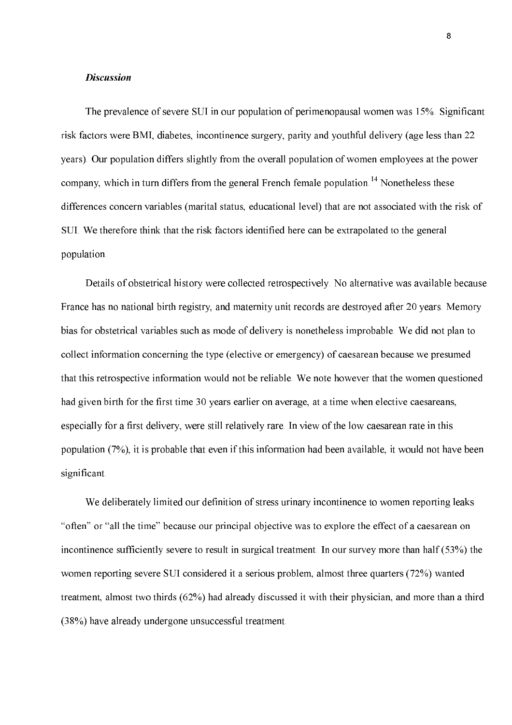#### **Discussion**

The prevalence of severe SUI in our population of perimenopausal women was 15%. Significant risk factors were BMI, diabetes, incontinence surgery, parity and youthful delivery (age less than 22 years). Our population differs slightly from the overall population of women employees at the power company, which in turn differs from the general French female population.<sup>14</sup> Nonetheless these differences concern variables (marital status, educational level) that are not associated with the risk of SUI. We therefore think that the risk factors identified here can be extrapolated to the general population.

Details of obstetrical history were collected retrospectively. No alternative was available because France has no national birth registry, and maternity unit records are destroyed after 20 years. Memory bias for obstetrical variables such as mode of delivery is nonetheless improbable. We did not plan to collect information concerning the type (elective or emergency) of caesarean because we presumed that this retrospective information would not be reliable. We note however that the women questioned had given birth for the first time 30 years earlier on average, at a time when elective caesareans, especially for a first delivery, were still relatively rare. In view of the low caesarean rate in this population (7%), it is probable that even if this information had been available, it would not have been significant.

We deliberately limited our definition of stress urinary incontinence to women reporting leaks "often" or "all the time" because our principal objective was to explore the effect of a caesarean on incontinence sufficiently severe to result in surgical treatment. In our survey more than half (53%) the women reporting severe SUI considered it a serious problem, almost three quarters (72%) wanted treatment, almost two thirds (62%) had already discussed it with their physician, and more than a third (38%) have already undergone unsuccessful treatment.

8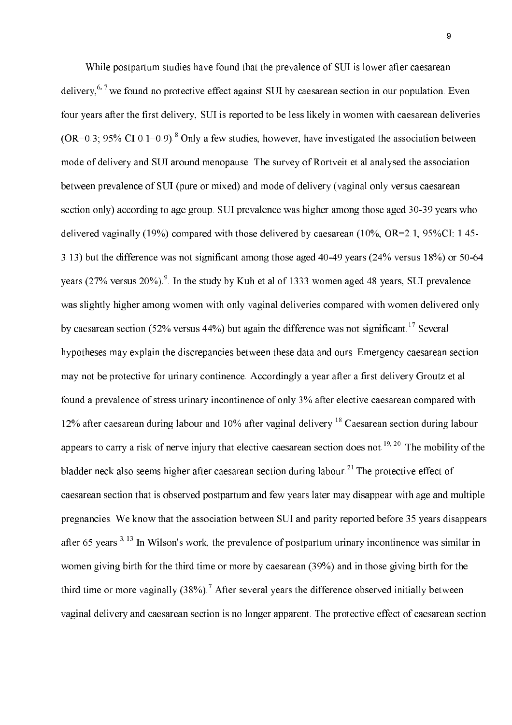While postpartum studies have found that the prevalence of SUI is lower after caesarean delivery,  $6.7$  we found no protective effect against SUI by caesarean section in our population. Even four years after the first delivery, SUI is reported to be less likely in women with caesarean deliveries  $(OR=0.3, 95\% \text{ CI } 0.1-0.9)$ .<sup>8</sup> Only a few studies, however, have investigated the association between mode of delivery and SUI around menopause. The survey of Rortveit et al analysed the association between prevalence of SUI (pure or mixed) and mode of delivery (vaginal only versus caesarean section only) according to age group. SUI prevalence was higher among those aged 30-39 years who delivered vaginally (19%) compared with those delivered by caesarean (10%, OR=2.1, 95%CI: 1.45-3.13) but the difference was not significant among those aged 40-49 years (24% versus 18%) or 50-64 years  $(27\%$  versus  $20\%)$ . In the study by Kuh et al of 1333 women aged 48 years, SUI prevalence was slightly higher among women with only vaginal deliveries compared with women delivered only by caesarean section (52% versus 44%) but again the difference was not significant.<sup>17</sup> Several hypotheses may explain the discrepancies between these data and ours. Emergency caesarean section may not be protective for urinary continence. Accordingly a year after a first delivery Groutz et al found a prevalence of stress urinary incontinence of only 3% after elective caesarean compared with 12% after caesarean during labour and 10% after vaginal delivery.<sup>18</sup> Caesarean section during labour appears to carry a risk of nerve injury that elective caesarean section does not.<sup>19, 20</sup> The mobility of the bladder neck also seems higher after caesarean section during labour.<sup>21</sup> The protective effect of caesarean section that is observed postpartum and few years later may disappear with age and multiple pregnancies. We know that the association between SUI and parity reported before 35 years disappears after 65 years.<sup>3, 13</sup> In Wilson's work, the prevalence of postpartum urinary incontinence was similar in women giving birth for the third time or more by caesarean (39%) and in those giving birth for the third time or more vaginally  $(38\%)$ .<sup>7</sup> After several years the difference observed initially between vaginal delivery and caesarean section is no longer apparent. The protective effect of caesarean section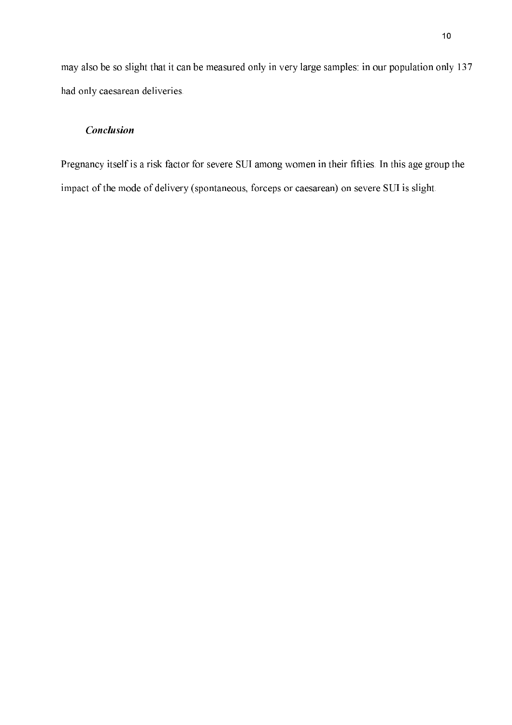may also be so slight that it can be measured only in very large samples: in our population only 137 had only caesarean deliveries.

### **Conclusion**

Pregnancy itself is a risk factor for severe SUI among women in their fifties. In this age group the impact of the mode of delivery (spontaneous, forceps or caesarean) on severe SUI is slight.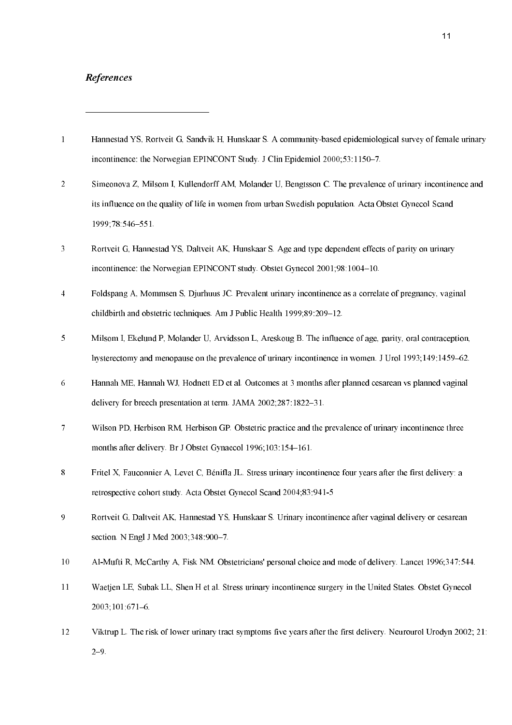### **References**

- $\overline{1}$ Hannestad YS, Rortveit G, Sandvik H, Hunskaar S. A community-based epidemiological survey of female urinary incontinence: the Norwegian EPINCONT Study. J Clin Epidemiol 2000;53:1150-7.
- $\overline{2}$ Simeonova Z, Milsom I, Kullendorff AM, Molander U, Bengtsson C. The prevalence of urinary incontinence and its influence on the quality of life in women from urban Swedish population. Acta Obstet Gynecol Scand 1999;78:546-551.
- $\overline{3}$ Rortveit G, Hannestad YS, Daltveit AK, Hunskaar S. Age and type dependent effects of parity on urinary incontinence: the Norwegian EPINCONT study. Obstet Gynecol 2001;98:1004-10.
- $\overline{4}$ Foldspang A, Mommsen S, Djurhuus JC. Prevalent urinary incontinence as a correlate of pregnancy, vaginal childbirth and obstetric techniques. Am J Public Health 1999;89:209-12.
- $\overline{5}$ Milsom I, Ekelund P, Molander U, Arvidsson L, Areskoug B, The influence of age, parity, oral contraception. hysterectomy and menopause on the prevalence of urinary incontinence in women. J Urol 1993;149:1459–62.
- Hannah ME, Hannah WJ, Hodnett ED et al. Outcomes at 3 months after planned cesarean ys planned yaginal 6 delivery for breech presentation at term. JAMA 2002;287:1822-31.
- $\overline{7}$ Wilson PD, Herbison RM, Herbison GP. Obstetric practice and the prevalence of urinary incontinence three months after delivery. Br J Obstet Gynaecol 1996;103:154-161.
- 8 Fritel X, Fauconnier A, Levet C, Bénifla JL. Stress urinary incontinence four years after the first delivery: a retrospective cohort study. Acta Obstet Gynecol Scand 2004;83:941-5
- $\overline{9}$ Rortveit G, Daltveit AK, Hannestad YS, Hunskaar S. Urinary incontinence after vaginal delivery or cesarean section. N Engl J Med 2003;348:900-7.
- $10$ Al-Mufti R, McCarthy A, Fisk NM. Obstetricians' personal choice and mode of delivery. Lancet 1996;347:544.
- $11$ Waetjen LE, Subak LL, Shen H et al. Stress urinary incontinence surgery in the United States. Obstet Gynecol 2003;101:671-6.
- $12$ Viktrup L. The risk of lower urinary tract symptoms five years after the first delivery. Neurourol Urodyn 2002; 21:  $2 - 9$ .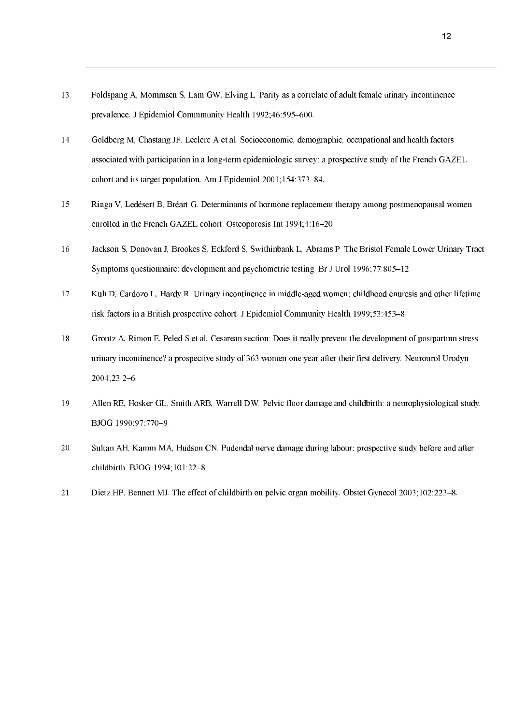- 13 Foldspang A, Mommsen S, Lam GW, Elving L. Parity as a correlate of adult female urinary incontinence prevalence. J Epidemiol Commmunity Health 1992;46:595-600.
- $14$ Goldberg M, Chastang JF, Leclerc A et al. Socioeconomic, demographic, occupational and health factors associated with participation in a long-term epidemiologic survey: a prospective study of the French GAZEL cohort and its target population. Am J Epidemiol 2001;154:373-84.
- 15 Ringa V, Ledésert B, Bréart G. Determinants of hormone replacement therapy among postmenopausal women enrolled in the French GAZEL cohort. Osteoporosis Int 1994;4:16-20.
- 16 Jackson S, Donovan J, Brookes S, Eckford S, Swithinbank L, Abrams P. The Bristol Female Lower Urinary Tract Symptoms questionnaire: development and psychometric testing. Br J Urol 1996;77:805-12.
- $17$ Kuh D, Cardozo L, Hardy R. Urinary incontinence in middle-aged women: childhood enuresis and other lifetime risk factors in a British prospective cohort. J Epidemiol Community Health 1999;53:453-8.
- 18 Groutz A. Rimon E. Peled S et al. Cesarean section: Does it really prevent the development of postpartum stress urinary incontinence? a prospective study of 363 women one year after their first delivery. Neurourol Urodyn  $2004;23:2-6.$
- 19 Allen RE, Hosker GL, Smith ARB, Warrell DW. Pelvic floor damage and childbirth: a neurophysiological study. BJOG 1990:97:770-9.
- 20 Sultan AH, Kamm MA, Hudson CN. Pudendal nerve damage during labour: prospective study before and after childbirth. BJOG 1994;101:22-8.
- 21 Dietz HP, Bennett MJ. The effect of childbirth on pelvic organ mobility. Obstet Gynecol 2003;102:223-8.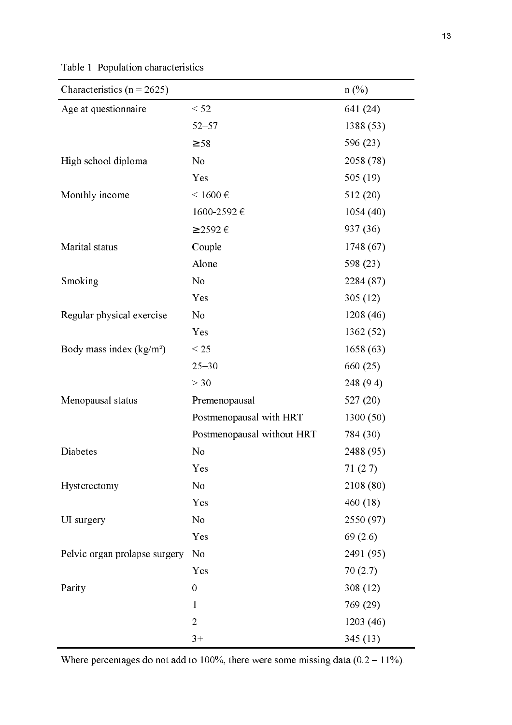Table 1. Population characteristics

| Characteristics ( $n = 2625$ ) |                            | $n(\%)$    |
|--------------------------------|----------------------------|------------|
| Age at questionnaire           | < 52                       | 641 (24)   |
|                                | $52 - 57$                  | 1388 (53)  |
|                                | $\geq 58$                  | 596 (23)   |
| High school diploma            | No                         | 2058 (78)  |
|                                | Yes                        | 505 $(19)$ |
| Monthly income                 | $< 1600$ €                 | 512(20)    |
|                                | 1600-2592€                 | 1054(40)   |
|                                | $\geq$ 2592 $\in$          | 937 (36)   |
| Marital status                 | Couple                     | 1748 (67)  |
|                                | Alone                      | 598 (23)   |
| Smoking                        | N <sub>o</sub>             | 2284 (87)  |
|                                | Yes                        | 305(12)    |
| Regular physical exercise      | No                         | 1208 (46)  |
|                                | Yes                        | 1362 (52)  |
| Body mass index $(kg/m2)$      | $\leq$ 25                  | 1658(63)   |
|                                | $25 - 30$                  | 660 (25)   |
|                                | >30                        | 248(9.4)   |
| Menopausal status              | Premenopausal              | 527(20)    |
|                                | Postmenopausal with HRT    | 1300(50)   |
|                                | Postmenopausal without HRT | 784 (30)   |
| Diabetes                       | N <sub>0</sub>             | 2488 (95)  |
|                                | Yes                        | 71(2.7)    |
| Hysterectomy                   | No                         | 2108 (80)  |
|                                | Yes                        | 460(18)    |
| UI surgery                     | N <sub>0</sub>             | 2550 (97)  |
|                                | Yes                        | 69(2.6)    |
| Pelvic organ prolapse surgery  | No                         | 2491 (95)  |
|                                | Yes                        | 70(2.7)    |
| Parity                         | $\mathbf{0}$               | 308(12)    |
|                                | $\mathbf{1}$               | 769 (29)   |
|                                | $\overline{2}$             | 1203(46)   |
|                                | $3+$                       | 345(13)    |

Where percentages do not add to 100%, there were some missing data  $(0.2 - 11\%)$ .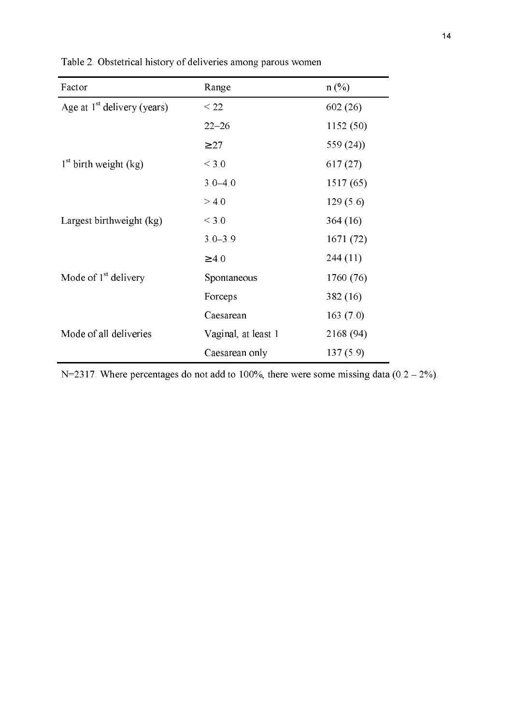| Factor                        | Range               | $n$ (%)     |
|-------------------------------|---------------------|-------------|
| Age at $1st$ delivery (years) | $\leq$ 22           | 602(26)     |
|                               | $22 - 26$           | 1152(50)    |
|                               | $\geq$ 27           | 559 $(24)$  |
| $1st$ birth weight (kg)       | ${}<$ 3.0           | 617 (27)    |
|                               | $3.0 - 4.0$         | 1517 (65)   |
|                               | > 4.0               | 129(5.6)    |
| Largest birthweight (kg)      | $<$ 3.0             | 364(16)     |
|                               | $3.0 - 3.9$         | 1671 (72)   |
|                               | $\geq 4.0$          | 244(11)     |
| Mode of $1st$ delivery        | Spontaneous         | 1760 (76)   |
|                               | Forceps             | 382 (16)    |
|                               | Caesarean           | 163 $(7.0)$ |
| Mode of all deliveries        | Vaginal, at least 1 | 2168 (94)   |
|                               | Caesarean only      | 137(5.9)    |

Table 2. Obstetrical history of deliveries among parous women

N=2317. Where percentages do not add to 100%, there were some missing data  $(0.2 - 2\%)$ .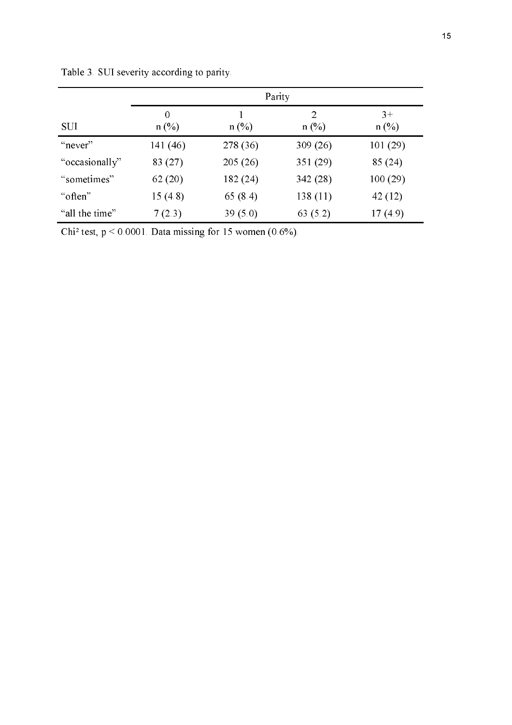|                | Parity              |          |              |                 |
|----------------|---------------------|----------|--------------|-----------------|
| <b>SUI</b>     | $\Omega$<br>$n$ (%) | $n$ (%)  | 2<br>$n$ (%) | $3+$<br>$n$ (%) |
| "never"        | 141 (46)            | 278 (36) | 309 (26)     | 101(29)         |
| "occasionally" | 83 (27)             | 205(26)  | 351(29)      | 85 (24)         |
| "sometimes"    | 62(20)              | 182 (24) | 342(28)      | 100(29)         |
| "often"        | 15(4.8)             | 65(8.4)  | 138(11)      | 42(12)          |
| "all the time" | 7(2.3)              | 39(5.0)  | 63 (5.2)     | 17(4.9)         |

Table 3. SUI severity according to parity.

Chi<sup>2</sup> test,  $p < 0.0001$ . Data missing for 15 women (0.6%).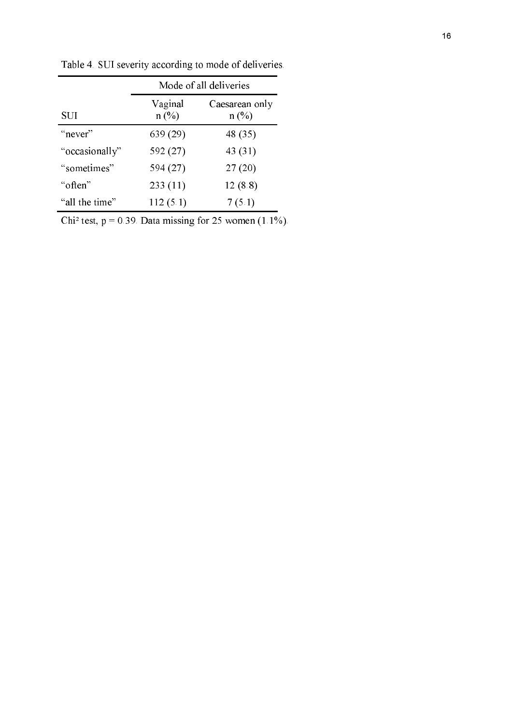|                | Mode of all deliveries |                           |  |
|----------------|------------------------|---------------------------|--|
| SUI            | Vaginal<br>n (%)       | Caesarean only<br>$n$ (%) |  |
| "never"        | 639 (29)               | 48 (35)                   |  |
| "occasionally" | 592 (27)               | 43 (31)                   |  |
| "sometimes"    | 594 (27)               | 27(20)                    |  |
| "often"        | 233(11)                | 12(8.8)                   |  |
| "all the time" | 112(5.1)               | 7(5.1)                    |  |

Table 4. SUI severity according to mode of deliveries.

Chi<sup>2</sup> test,  $p = 0.39$ . Data missing for 25 women (1.1%).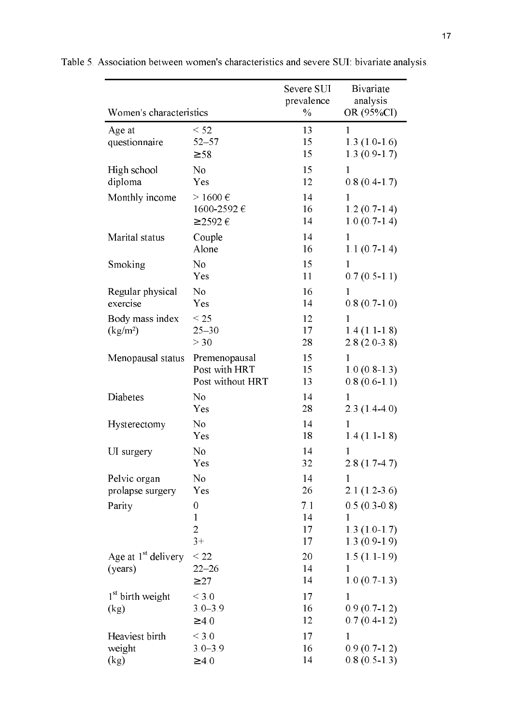|                                         |                                        | Severe SUI<br>prevalence | <b>B</b> ivariate<br>analysis                    |
|-----------------------------------------|----------------------------------------|--------------------------|--------------------------------------------------|
| Women's characteristics                 |                                        | $\%$                     | OR (95%CI)                                       |
| Age at<br>questionnaire                 | < 52<br>$52 - 57$<br>$\geq$ 58         | 13<br>15<br>15           | 1<br>$1.3(1.0-1.6)$<br>$1.3(0.9-1.7)$            |
| High school                             | N <sub>0</sub>                         | 15                       | 1                                                |
| diploma                                 | Yes                                    | 12                       | $0.8(0.4-1.7)$                                   |
| Monthly income                          | $>1600 \text{ } \in$                   | 14                       | 1                                                |
|                                         | 1600-2592€                             | 16                       | $1.2(0.7-1.4)$                                   |
|                                         | $\geq$ 2592 $\in$                      | 14                       | $1.0(0.7-1.4)$                                   |
| Marital status                          | Couple                                 | 14                       | 1                                                |
|                                         | Alone                                  | 16                       | $1.1(0.7-1.4)$                                   |
| Smoking                                 | N <sub>0</sub>                         | 15                       | $\mathbf{1}$                                     |
|                                         | Yes                                    | 11                       | $0.7(0.5-1.1)$                                   |
| Regular physical                        | N <sub>o</sub>                         | 16                       | 1                                                |
| exercise                                | Yes                                    | 14                       | $0.8(0.7-1.0)$                                   |
| Body mass index<br>(kg/m <sup>2</sup> ) | $<$ 25<br>$25 - 30$<br>>30             | 12<br>17<br>28           | $\mathbf{1}$<br>$1.4(1.1-1.8)$<br>$2.8(2.0-3.8)$ |
| Menopausal status                       | Premenopausal                          | 15                       | $\mathbf{1}$                                     |
|                                         | Post with HRT                          | 15                       | $1.0(0.8-1.3)$                                   |
|                                         | Post without HRT                       | 13                       | $0.8(0.6-1.1)$                                   |
| Diabetes                                | N <sub>o</sub>                         | 14                       | 1                                                |
|                                         | Yes                                    | 28                       | $2.3(1.4-4.0)$                                   |
| Hysterectomy                            | N <sub>0</sub>                         | 14                       | 1                                                |
|                                         | Yes                                    | 18                       | $1.4(1.1-1.8)$                                   |
| UI surgery                              | N <sub>0</sub>                         | 14                       | 1                                                |
|                                         | Yes                                    | 32                       | $2.8(1.7-4.7)$                                   |
| Pelvic organ                            | No                                     | 14                       | $\mathbf{1}$                                     |
| prolapse surgery                        | Yes                                    | 26                       | $2.1(1.2-3.6)$                                   |
| Parity                                  | 0                                      | 7.1                      | $0.5(0.3-0.8)$                                   |
|                                         | $\mathbf{1}$                           | 14                       | 1                                                |
|                                         | $\overline{2}$                         | 17                       | $1.3(1.0-1.7)$                                   |
|                                         | $3+$                                   | 17                       | $1.3(0.9-1.9)$                                   |
| Age at $1st$ delivery<br>(years)        | $<$ 22<br>$22 - 26$<br>$\geq$ 27       | 20<br>14<br>14           | $1.5(1.1-1.9)$<br>1<br>$1.0(0.7-1.3)$            |
| $1st$ birth weight<br>(kg)              | ${}<$ 3.0<br>$3.0 - 3.9$<br>$\geq 4.0$ | 17<br>16<br>12           | $\mathbf{1}$<br>$0.9(0.7-1.2)$<br>$0.7(0.4-1.2)$ |
| Heaviest birth                          | ${}<$ 3.0                              | 17                       | 1                                                |
| weight                                  | $3.0 - 3.9$                            | 16                       | $0.9(0.7-1.2)$                                   |
| (kg)                                    | $\geq 4.0$                             | 14                       | $0.8(0.5-1.3)$                                   |

Table 5. Association between women's characteristics and severe SUI: bivariate analysis.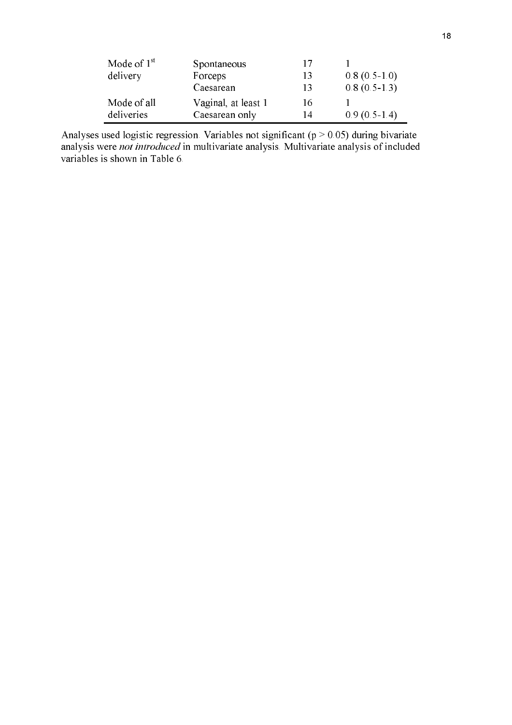| Mode of $1st$ | Spontaneous         | 17 |                |
|---------------|---------------------|----|----------------|
| delivery      | Forceps             | 13 | $0.8(0.5-1.0)$ |
|               | Caesarean           | 13 | $0.8(0.5-1.3)$ |
| Mode of all   | Vaginal, at least 1 | 16 |                |
| deliveries    | Caesarean only      | 14 | $0.9(0.5-1.4)$ |

Analyses used logistic regression. Variables not significant ( $p > 0.05$ ) during bivariate analysis were not introduced in multivariate analysis. Multivariate analysis of included variables is shown in Table 6.